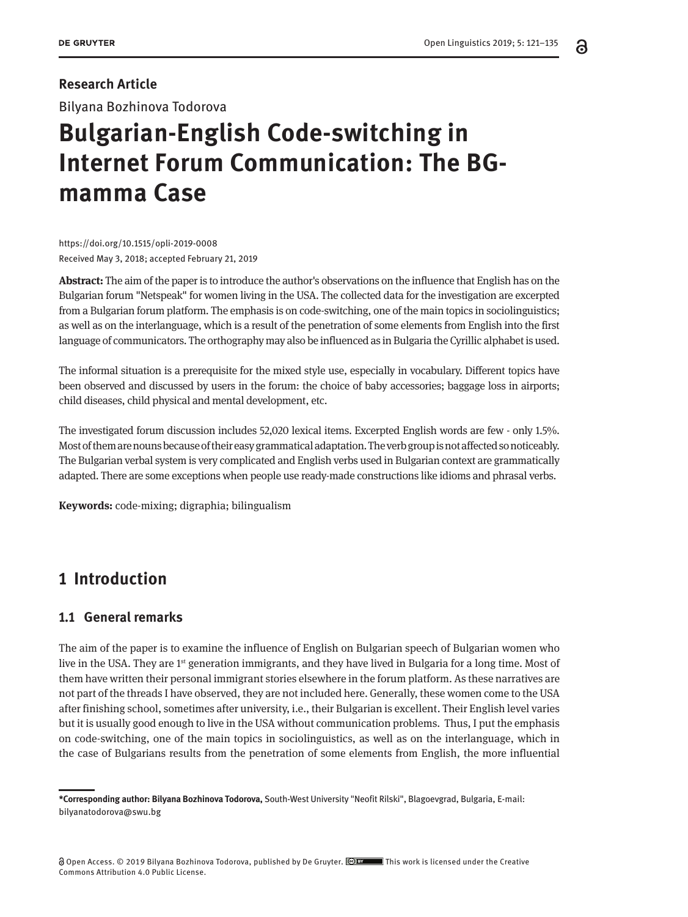ခ

# Bilyana Bozhinova Todorova **Bulgarian-English Code-switching in Internet Forum Communication: The BGmamma Case Research Article**

https://doi.org/10.1515/opli-2019-0008 Received May 3, 2018; accepted February 21, 2019

**Abstract:** The aim of the paper is to introduce the author's observations on the influence that English has on the Bulgarian forum "Netspeak" for women living in the USA. The collected data for the investigation are excerpted from a Bulgarian forum platform. The emphasis is on code-switching, one of the main topics in sociolinguistics; as well as on the interlanguage, which is a result of the penetration of some elements from English into the first language of communicators. The orthography may also be influenced as in Bulgaria the Cyrillic alphabet is used.

The informal situation is a prerequisite for the mixed style use, especially in vocabulary. Different topics have been observed and discussed by users in the forum: the choice of baby accessories; baggage loss in airports; child diseases, child physical and mental development, etc.

The investigated forum discussion includes 52,020 lexical items. Excerpted English words are few - only 1.5%. Most of them are nouns because of their easy grammatical adaptation. The verb group is not affected so noticeably. The Bulgarian verbal system is very complicated and English verbs used in Bulgarian context are grammatically adapted. There are some exceptions when people use ready-made constructions like idioms and phrasal verbs.

**Keywords:** code-mixing; digraphia; bilingualism

# **1 Introduction**

## **1.1 General remarks**

The aim of the paper is to examine the influence of English on Bulgarian speech of Bulgarian women who live in the USA. They are 1<sup>st</sup> generation immigrants, and they have lived in Bulgaria for a long time. Most of them have written their personal immigrant stories elsewhere in the forum platform. As these narratives are not part of the threads I have observed, they are not included here. Generally, these women come to the USA after finishing school, sometimes after university, i.e., their Bulgarian is excellent. Their English level varies but it is usually good enough to live in the USA without communication problems. Thus, I put the emphasis on code-switching, one of the main topics in sociolinguistics, as well as on the interlanguage, which in the case of Bulgarians results from the penetration of some elements from English, the more influential

**<sup>\*</sup>Corresponding author: Bilyana Bozhinova Todorova,** South-West University "Neofit Rilski", Blagoevgrad, Bulgaria, E-mail: bilyanatodorova@swu.bg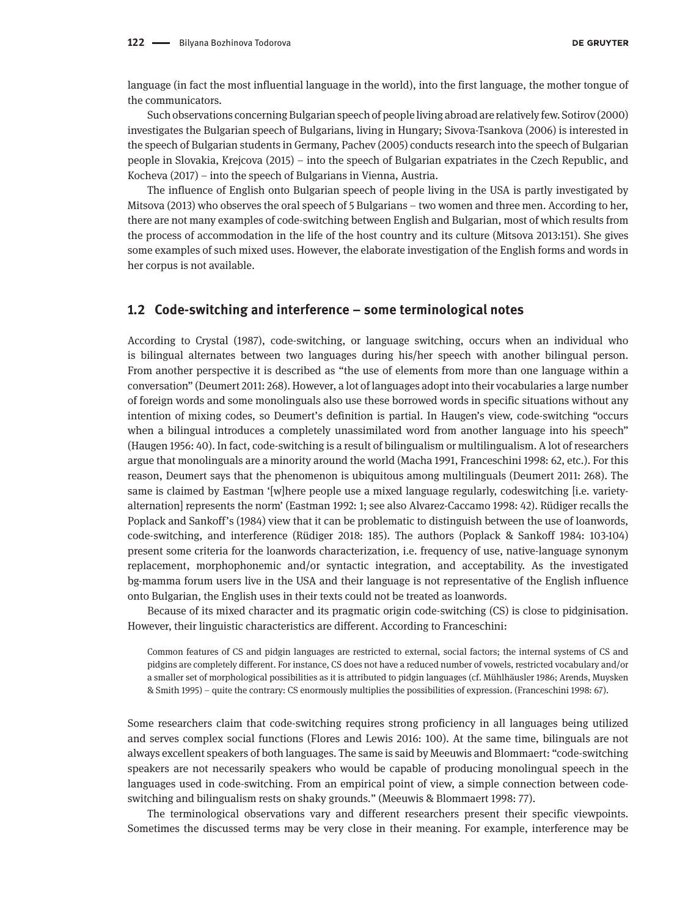language (in fact the most influential language in the world), into the first language, the mother tongue of the communicators.

Such observations concerning Bulgarian speech of people living abroad are relatively few. Sotirov (2000) investigates the Bulgarian speech of Bulgarians, living in Hungary; Sivova-Tsankova (2006) is interested in the speech of Bulgarian students in Germany, Pachev (2005) conducts research into the speech of Bulgarian people in Slovakia, Krejcova (2015) – into the speech of Bulgarian expatriates in the Czech Republic, and Kocheva (2017) – into the speech of Bulgarians in Vienna, Austria.

The influence of English onto Bulgarian speech of people living in the USA is partly investigated by Mitsova (2013) who observes the oral speech of 5 Bulgarians – two women and three men. According to her, there are not many examples of code-switching between English and Bulgarian, most of which results from the process of accommodation in the life of the host country and its culture (Mitsova 2013:151). She gives some examples of such mixed uses. However, the elaborate investigation of the English forms and words in her corpus is not available.

### **1.2 Code-switching and interference – some terminological notes**

According to Crystal (1987), code-switching, or language switching, occurs when an individual who is bilingual alternates between two languages during his/her speech with another bilingual person. From another perspective it is described as "the use of elements from more than one language within a conversation" (Deumert 2011: 268). However, a lot of languages adopt into their vocabularies a large number of foreign words and some monolinguals also use these borrowed words in specific situations without any intention of mixing codes, so Deumert's definition is partial. In Haugen's view, code-switching "occurs when a bilingual introduces a completely unassimilated word from another language into his speech" (Haugen 1956: 40). In fact, code-switching is a result of bilingualism or multilingualism. A lot of researchers argue that monolinguals are a minority around the world (Macha 1991, Franceschini 1998: 62, etc.). For this reason, Deumert says that the phenomenon is ubiquitous among multilinguals (Deumert 2011: 268). The same is claimed by Eastman '[w]here people use a mixed language regularly, codeswitching [i.e. varietyalternation] represents the norm' (Eastman 1992: 1; see also Alvarez-Caccamo 1998: 42). Rüdiger recalls the Poplack and Sankoff's (1984) view that it can be problematic to distinguish between the use of loanwords, code-switching, and interference (Rüdiger 2018: 185). The authors (Poplack & Sankoff 1984: 103-104) present some criteria for the loanwords characterization, i.e. frequency of use, native-language synonym replacement, morphophonemic and/or syntactic integration, and acceptability. As the investigated bg-mamma forum users live in the USA and their language is not representative of the English influence onto Bulgarian, the English uses in their texts could not be treated as loanwords.

Because of its mixed character and its pragmatic origin code-switching (CS) is close to pidginisation. However, their linguistic characteristics are different. According to Franceschini:

Common features of CS and pidgin languages are restricted to external, social factors; the internal systems of CS and pidgins are completely different. For instance, CS does not have a reduced number of vowels, restricted vocabulary and/or a smaller set of morphological possibilities as it is attributed to pidgin languages (cf. Mühlhäusler 1986; Arends, Muysken & Smith 1995) – quite the contrary: CS enormously multiplies the possibilities of expression. (Franceschini 1998: 67).

Some researchers claim that code-switching requires strong proficiency in all languages being utilized and serves complex social functions (Flores and Lewis 2016: 100). At the same time, bilinguals are not always excellent speakers of both languages. The same is said by Meeuwis and Blommaert: "code-switching speakers are not necessarily speakers who would be capable of producing monolingual speech in the languages used in code-switching. From an empirical point of view, a simple connection between codeswitching and bilingualism rests on shaky grounds." (Meeuwis & Blommaert 1998: 77).

The terminological observations vary and different researchers present their specific viewpoints. Sometimes the discussed terms may be very close in their meaning. For example, interference may be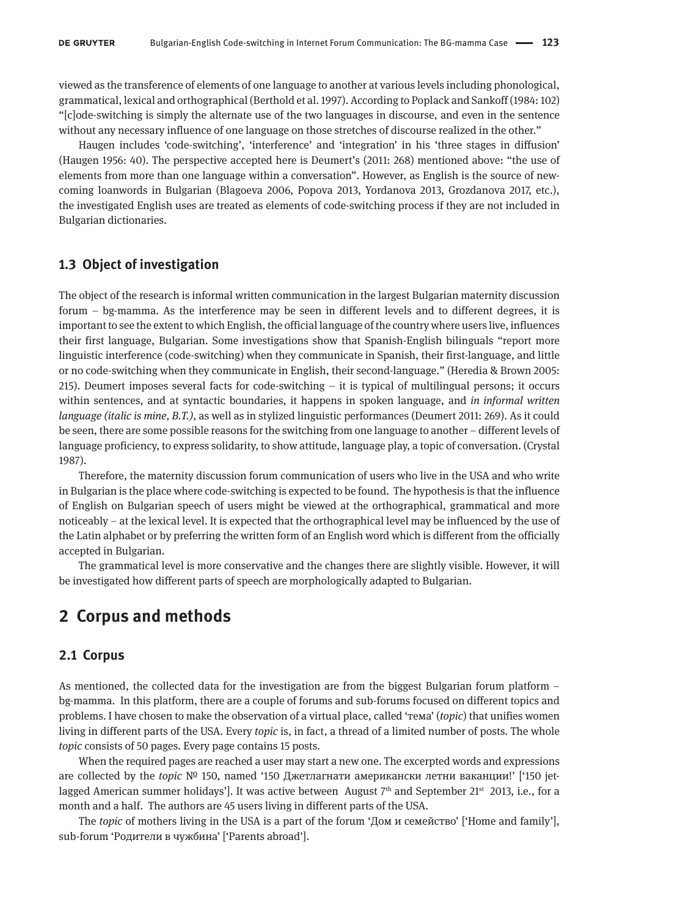viewed as the transference of elements of one language to another at various levels including phonological, grammatical, lexical and orthographical (Berthold et al. 1997). According to Poplack and Sankoff (1984: 102) "[c]ode-switching is simply the alternate use of the two languages in discourse, and even in the sentence without any necessary influence of one language on those stretches of discourse realized in the other."

Haugen includes 'code-switching', 'interference' and 'integration' in his 'three stages in diffusion' (Haugen 1956: 40). The perspective accepted here is Deumert's (2011: 268) mentioned above: "the use of elements from more than one language within a conversation". However, as English is the source of newcoming loanwords in Bulgarian (Blagoeva 2006, Popova 2013, Yordanova 2013, Grozdanova 2017, etc.), the investigated English uses are treated as elements of code-switching process if they are not included in Bulgarian dictionaries.

## **1.3 Object of investigation**

The object of the research is informal written communication in the largest Bulgarian maternity discussion forum – bg-mamma. As the interference may be seen in different levels and to different degrees, it is important to see the extent to which English, the official language of the country where users live, influences their first language, Bulgarian. Some investigations show that Spanish-English bilinguals "report more linguistic interference (code-switching) when they communicate in Spanish, their first-language, and little or no code-switching when they communicate in English, their second-language." (Heredia & Brown 2005: 215). Deumert imposes several facts for code-switching – it is typical of multilingual persons; it occurs within sentences, and at syntactic boundaries, it happens in spoken language, and *in informal written language (italic is mine, B.T.)*, as well as in stylized linguistic performances (Deumert 2011: 269). As it could be seen, there are some possible reasons for the switching from one language to another – different levels of language proficiency, to express solidarity, to show attitude, language play, a topic of conversation. (Crystal 1987).

Therefore, the maternity discussion forum communication of users who live in the USA and who write in Bulgarian is the place where code-switching is expected to be found. The hypothesis is that the influence of English on Bulgarian speech of users might be viewed at the orthographical, grammatical and more noticeably – at the lexical level. It is expected that the orthographical level may be influenced by the use of the Latin alphabet or by preferring the written form of an English word which is different from the officially accepted in Bulgarian.

The grammatical level is more conservative and the changes there are slightly visible. However, it will be investigated how different parts of speech are morphologically adapted to Bulgarian.

## **2 Corpus and methods**

## **2.1 Corpus**

As mentioned, the collected data for the investigation are from the biggest Bulgarian forum platform – bg-mamma. In this platform, there are a couple of forums and sub-forums focused on different topics and problems. I have chosen to make the observation of a virtual place, called 'тема' (*topic*) that unifies women living in different parts of the USA. Every *topic* is, in fact, a thread of a limited number of posts. The whole *topic* consists of 50 pages. Every page contains 15 posts.

When the required pages are reached a user may start a new one. The excerpted words and expressions are collected by the *topic* № 150, named '150 Джетлагнати американски летни ваканции!' ['150 jetlagged American summer holidays']. It was active between August  $7<sup>th</sup>$  and September 21<sup>st</sup> 2013, i.e., for a month and a half. The authors are 45 users living in different parts of the USA.

The *topic* of mothers living in the USA is a part of the forum 'Дом и семейство' ['Home and family'], sub-forum 'Родители в чужбина' ['Parents abroad'].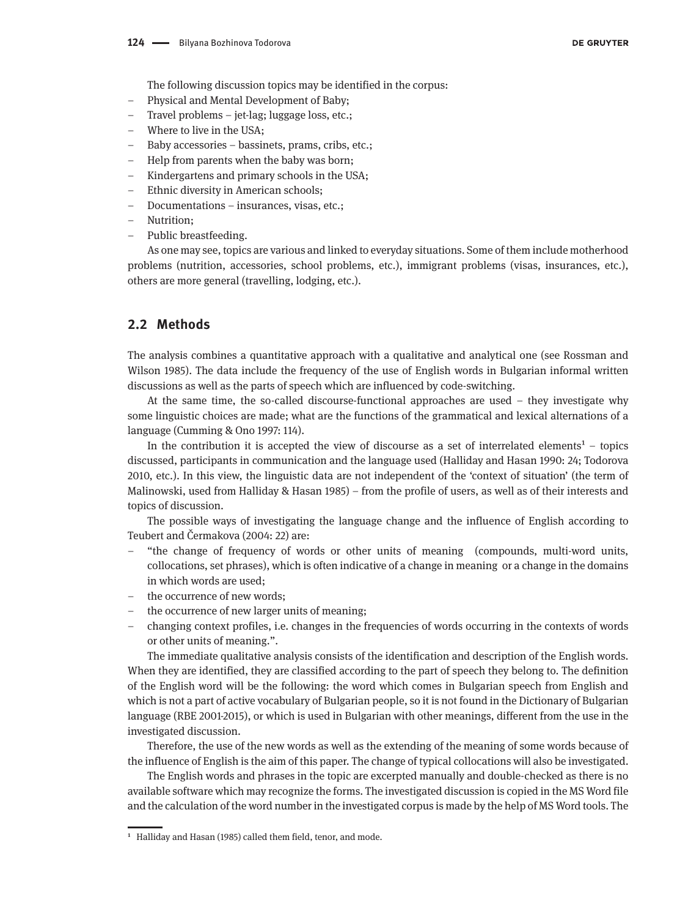The following discussion topics may be identified in the corpus:

- Physical and Mental Development of Baby;
- Travel problems jet-lag; luggage loss, etc.;
- Where to live in the USA;
- Baby accessories bassinets, prams, cribs, etc.;
- Help from parents when the baby was born;
- Kindergartens and primary schools in the USA;
- Ethnic diversity in American schools;
- Documentations insurances, visas, etc.;
- Nutrition;
- Public breastfeeding.

As one may see, topics are various and linked to everyday situations. Some of them include motherhood problems (nutrition, accessories, school problems, etc.), immigrant problems (visas, insurances, etc.), others are more general (travelling, lodging, etc.).

## **2.2 Methods**

The analysis combines a quantitative approach with a qualitative and analytical one (see Rossman and Wilson 1985). The data include the frequency of the use of English words in Bulgarian informal written discussions as well as the parts of speech which are influenced by code-switching.

At the same time, the so-called discourse-functional approaches are used – they investigate why some linguistic choices are made; what are the functions of the grammatical and lexical alternations of a language (Cumming & Ono 1997: 114).

In the contribution it is accepted the view of discourse as a set of interrelated elements<sup>1</sup> – topics discussed, participants in communication and the language used (Halliday and Hasan 1990: 24; Todorova 2010, etc.). In this view, the linguistic data are not independent of the 'context of situation' (the term of Malinowski, used from Halliday & Hasan 1985) – from the profile of users, as well as of their interests and topics of discussion.

The possible ways of investigating the language change and the influence of English according to Teubert and Čermakova (2004: 22) are:

- "the change of frequency of words or other units of meaning (compounds, multi-word units, collocations, set phrases), which is often indicative of a change in meaning or a change in the domains in which words are used;
- the occurrence of new words:
- the occurrence of new larger units of meaning;
- changing context profiles, i.e. changes in the frequencies of words occurring in the contexts of words or other units of meaning.".

The immediate qualitative analysis consists of the identification and description of the English words. When they are identified, they are classified according to the part of speech they belong to. The definition of the English word will be the following: the word which comes in Bulgarian speech from English and which is not a part of active vocabulary of Bulgarian people, so it is not found in the Dictionary of Bulgarian language (RBE 2001-2015), or which is used in Bulgarian with other meanings, different from the use in the investigated discussion.

Therefore, the use of the new words as well as the extending of the meaning of some words because of the influence of English is the aim of this paper. The change of typical collocations will also be investigated.

The English words and phrases in the topic are excerpted manually and double-checked as there is no available software which may recognize the forms. The investigated discussion is copied in the MS Word file and the calculation of the word number in the investigated corpus is made by the help of MS Word tools. The

**<sup>1</sup>** Halliday and Hasan (1985) called them field, tenor, and mode.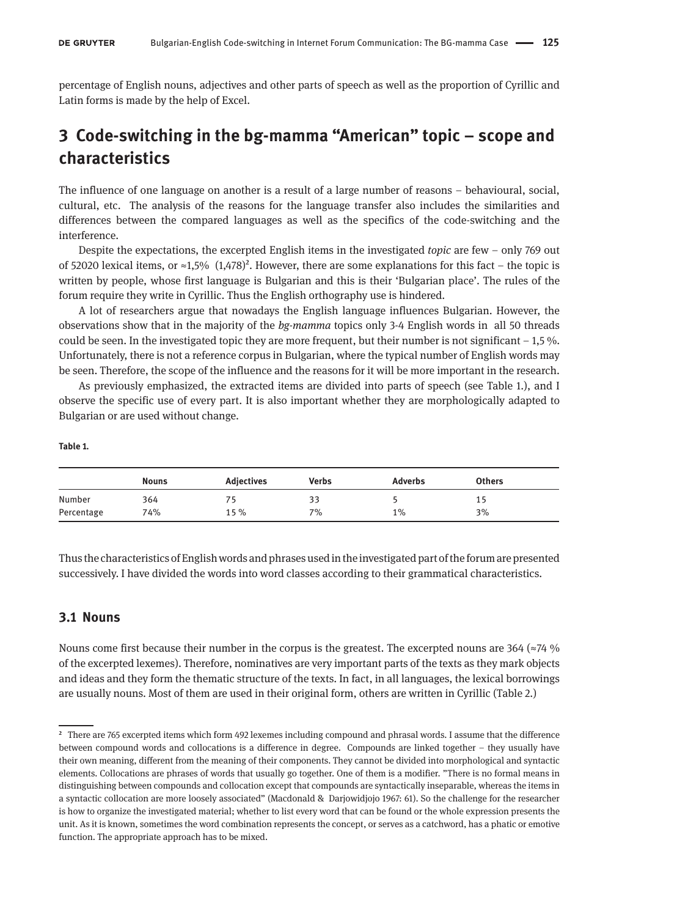percentage of English nouns, adjectives and other parts of speech as well as the proportion of Cyrillic and Latin forms is made by the help of Excel.

# **3 Code-switching in the bg-mamma "American" topic – scope and characteristics**

The influence of one language on another is a result of a large number of reasons – behavioural, social, cultural, etc. The analysis of the reasons for the language transfer also includes the similarities and differences between the compared languages as well as the specifics of the code-switching and the interference.

Despite the expectations, the excerpted English items in the investigated *topic* are few – only 769 out of 52020 lexical items, or ≈1,5% (1,478)<sup>2</sup>. However, there are some explanations for this fact – the topic is written by people, whose first language is Bulgarian and this is their 'Bulgarian place'. The rules of the forum require they write in Cyrillic. Thus the English orthography use is hindered.

A lot of researchers argue that nowadays the English language influences Bulgarian. However, the observations show that in the majority of the *bg-mamma* topics only 3-4 English words in all 50 threads could be seen. In the investigated topic they are more frequent, but their number is not significant  $-1.5\%$ . Unfortunately, there is not a reference corpus in Bulgarian, where the typical number of English words may be seen. Therefore, the scope of the influence and the reasons for it will be more important in the research.

As previously emphasized, the extracted items are divided into parts of speech (see Table 1.), and I observe the specific use of every part. It is also important whether they are morphologically adapted to Bulgarian or are used without change.

#### **Table 1.**

|            | <b>Nouns</b> | <b>Adjectives</b> | Verbs | <b>Adverbs</b> | <b>Others</b> |  |
|------------|--------------|-------------------|-------|----------------|---------------|--|
| Number     | 364          | 75                | 33    |                | 15            |  |
| Percentage | 74%          | 15%               | 7%    | $1\%$          | 3%            |  |

Thus the characteristics of English words and phrases used in the investigated part of the forum are presented successively. I have divided the words into word classes according to their grammatical characteristics.

## **3.1 Nouns**

Nouns come first because their number in the corpus is the greatest. The excerpted nouns are 364 ( $\approx$ 74 %) of the excerpted lexemes). Therefore, nominatives are very important parts of the texts as they mark objects and ideas and they form the thematic structure of the texts. In fact, in all languages, the lexical borrowings are usually nouns. Most of them are used in their original form, others are written in Cyrillic (Table 2.)

**<sup>2</sup>** There are 765 excerpted items which form 492 lexemes including compound and phrasal words. I assume that the difference between compound words and collocations is a difference in degree. Compounds are linked together – they usually have their own meaning, different from the meaning of their components. They cannot be divided into morphological and syntactic elements. Collocations are phrases of words that usually go together. One of them is a modifier. "There is no formal means in distinguishing between compounds and collocation except that compounds are syntactically inseparable, whereas the items in a syntactic collocation are more loosely associated" (Macdonald & Darjowidjojo 1967: 61). So the challenge for the researcher is how to organize the investigated material; whether to list every word that can be found or the whole expression presents the unit. As it is known, sometimes the word combination represents the concept, or serves as a catchword, has a phatic or emotive function. The appropriate approach has to be mixed.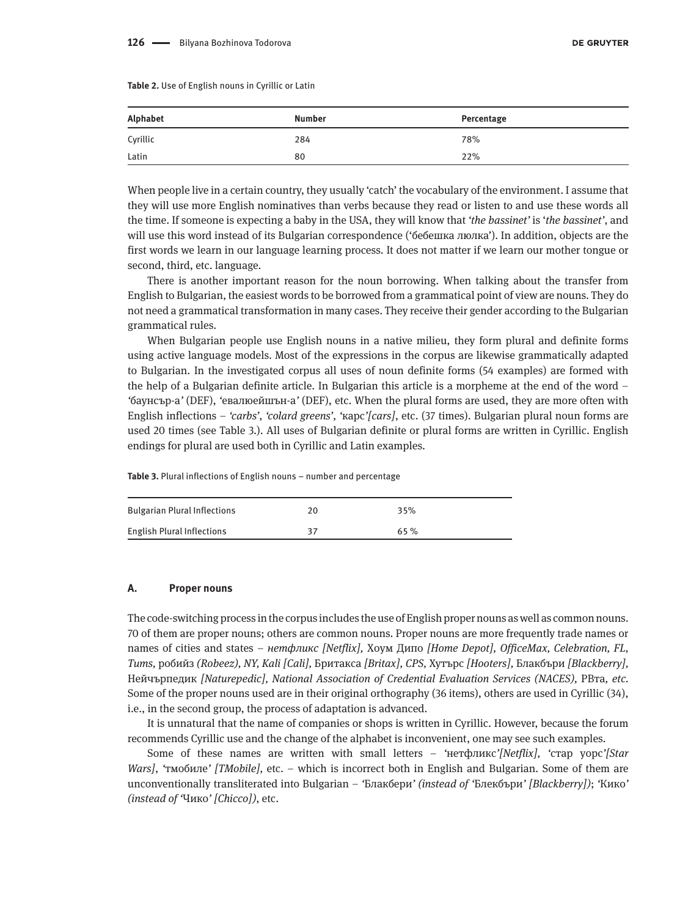**Table 2.** Use of English nouns in Cyrillic or Latin

| Alphabet | <b>Number</b> | Percentage |
|----------|---------------|------------|
| Cyrillic | 284           | 78%        |
| Latin    | 80            | 22%        |

When people live in a certain country, they usually 'catch' the vocabulary of the environment. I assume that they will use more English nominatives than verbs because they read or listen to and use these words all the time. If someone is expecting a baby in the USA, they will know that *'the bassinet'* is '*the bassinet'*, and will use this word instead of its Bulgarian correspondence ('бебешка люлка'). In addition, objects are the first words we learn in our language learning process. It does not matter if we learn our mother tongue or second, third, etc. language.

There is another important reason for the noun borrowing. When talking about the transfer from English to Bulgarian, the easiest words to be borrowed from a grammatical point of view are nouns. They do not need a grammatical transformation in many cases. They receive their gender according to the Bulgarian grammatical rules.

When Bulgarian people use English nouns in a native milieu, they form plural and definite forms using active language models. Most of the expressions in the corpus are likewise grammatically adapted to Bulgarian. In the investigated corpus all uses of noun definite forms (54 examples) are formed with the help of a Bulgarian definite article. In Bulgarian this article is a morpheme at the end of the word – *'*баунсър-а*'* (DEF), *'*евалюейшън-а*'* (DEF), etc. When the plural forms are used, they are more often with English inflections – *'carbs'*, *'colard greens'*, *'*карс*'[cars]*, etc. (37 times). Bulgarian plural noun forms are used 20 times (see Table 3.). All uses of Bulgarian definite or plural forms are written in Cyrillic. English endings for plural are used both in Cyrillic and Latin examples.

**Table 3.** Plural inflections of English nouns – number and percentage

| <b>Bulgarian Plural Inflections</b> | 20 | 35% |
|-------------------------------------|----|-----|
| <b>English Plural Inflections</b>   | 37 | 65% |

#### **A. Proper nouns**

The code-switching process in the corpus includes the use of English proper nouns as well as common nouns. 70 of them are proper nouns; others are common nouns. Proper nouns are more frequently trade names or names of cities and states – *нетфликс [Netflix],* Хоум Дипо *[Home Depot], OfficeMax, Celebration, FL, Tums,* робийз *(Robeez), NY, Kali [Cali],* Бритакса *[Britax], CPS,* Хутърс *[Hooters],* Блакбъри *[Blackberry],*  Нейчърпедик *[Naturepedic], National Association of Credential Evaluation Services (NACES),* РВта*, etc.* Some of the proper nouns used are in their original orthography (36 items), others are used in Cyrillic (34), i.e., in the second group, the process of adaptation is advanced.

It is unnatural that the name of companies or shops is written in Cyrillic. However, because the forum recommends Cyrillic use and the change of the alphabet is inconvenient, one may see such examples.

Some of these names are written with small letters – *'*нетфликс*'[Netflix], '*стар уорс*'[Star Wars]*, *'*тмобиле*' [TMobile],* etc. – which is incorrect both in English and Bulgarian. Some of them are unconventionally transliterated into Bulgarian – *'*Блакбери*' (instead of '*Блекбъри*' [Blackberry])*; *'*Кико*' (instead of '*Чико*' [Chicco])*, etc.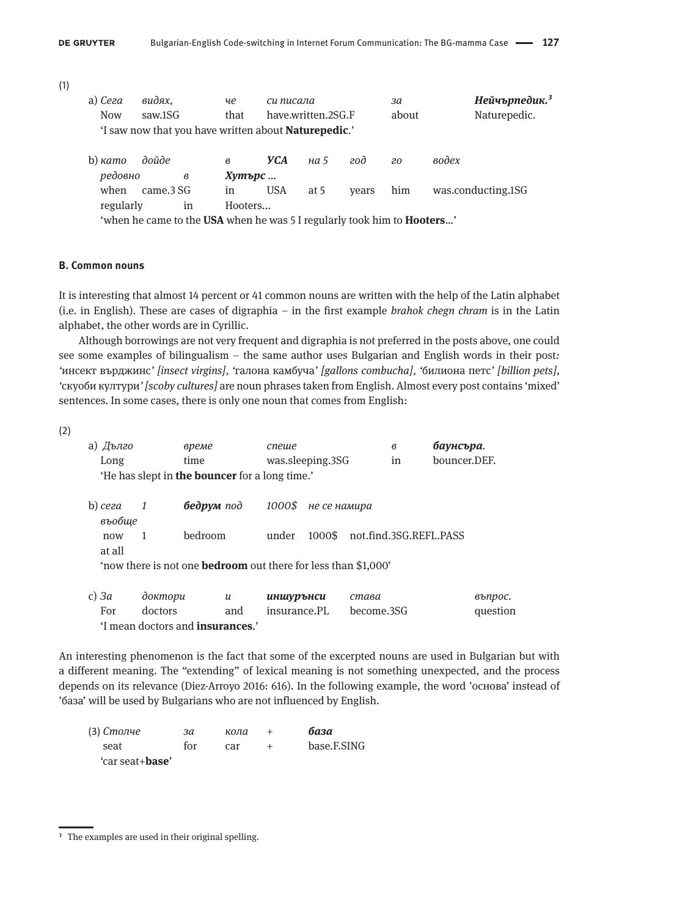(1) 

| a) Ceza                                                                 | видях.     | чe                                  | си писала  |                    |       | за    | Нейчърпедик.       |  |  |
|-------------------------------------------------------------------------|------------|-------------------------------------|------------|--------------------|-------|-------|--------------------|--|--|
| <b>Now</b>                                                              | saw.1SG    | that                                |            | have.written.2SG.F |       | about | Naturepedic.       |  |  |
| 'I saw now that you have written about <b>Naturepedic.'</b>             |            |                                     |            |                    |       |       |                    |  |  |
| b) като                                                                 | дойде      | $\epsilon$                          | <b>YCA</b> | на 5               | cod   | 20    | водех              |  |  |
| редовно                                                                 | $\epsilon$ | $X$ <i>vm</i> $\mathbf{p}$ <i>c</i> |            |                    |       |       |                    |  |  |
| when                                                                    | came.3 SG  | in                                  | <b>USA</b> | at 5               | vears | him   | was.conducting.1SG |  |  |
| regularly                                                               | in         | Hooters                             |            |                    |       |       |                    |  |  |
| 'when he came to the USA when he was 5 I regularly took him to Hooters' |            |                                     |            |                    |       |       |                    |  |  |

#### **B. Common nouns**

It is interesting that almost 14 percent or 41 common nouns are written with the help of the Latin alphabet (i.e. in English). These are cases of digraphia – in the first example *brahok chegn chram* is in the Latin alphabet, the other words are in Cyrillic.

Although borrowings are not very frequent and digraphia is not preferred in the posts above, one could see some examples of bilingualism – the same author uses Bulgarian and English words in their post*: '*инсект върджинс*' [insect virgins], '*галона камбуча*' [gallons combucha], '*билиона петс*' [billion pets], '*скуоби култури*' [scoby cultures]* are noun phrases taken from English. Almost every post contains 'mixed' sentences. In some cases, there is only one noun that comes from English:

(2) 

| а) $\pi$ ълго     |              | време                                   |     | спеше                                                                 |                  |                        | баунсъра.    |
|-------------------|--------------|-----------------------------------------|-----|-----------------------------------------------------------------------|------------------|------------------------|--------------|
| Long              |              | time                                    |     |                                                                       | was.sleeping.3SG |                        | bouncer.DEF. |
|                   |              |                                         |     | 'He has slept in <b>the bouncer</b> for a long time.'                 |                  |                        |              |
| b) ceza<br>въобше | $\mathbf{1}$ | бедрум под                              |     | 1000\$                                                                | не се намира     |                        |              |
| now<br>at all     |              | bedroom                                 |     | under                                                                 | 1000\$           | not.find.3SG.REFL.PASS |              |
|                   |              |                                         |     | 'now there is not one <b>bedroom</b> out there for less than \$1,000' |                  |                        |              |
| c) $3a$           | доктори      |                                         | u   | иншурънси                                                             |                  | става                  | въпрос.      |
| For               | doctors      |                                         | and | insurance.PL                                                          |                  | become.3SG             | question     |
|                   |              | 'I mean doctors and <b>insurances.'</b> |     |                                                                       |                  |                        |              |

An interesting phenomenon is the fact that some of the excerpted nouns are used in Bulgarian but with a different meaning. The "extending" of lexical meaning is not something unexpected, and the process depends on its relevance (Diez-Arroyo 2016: 616). In the following example, the word 'основа' instead of 'база' will be used by Bulgarians who are not influenced by English.

| (3) Столче               | за  | кола | база        |
|--------------------------|-----|------|-------------|
| seat                     | for | car  | base.F.SING |
| 'car seat+ <b>base</b> ' |     |      |             |

**<sup>3</sup>** The examples are used in their original spelling.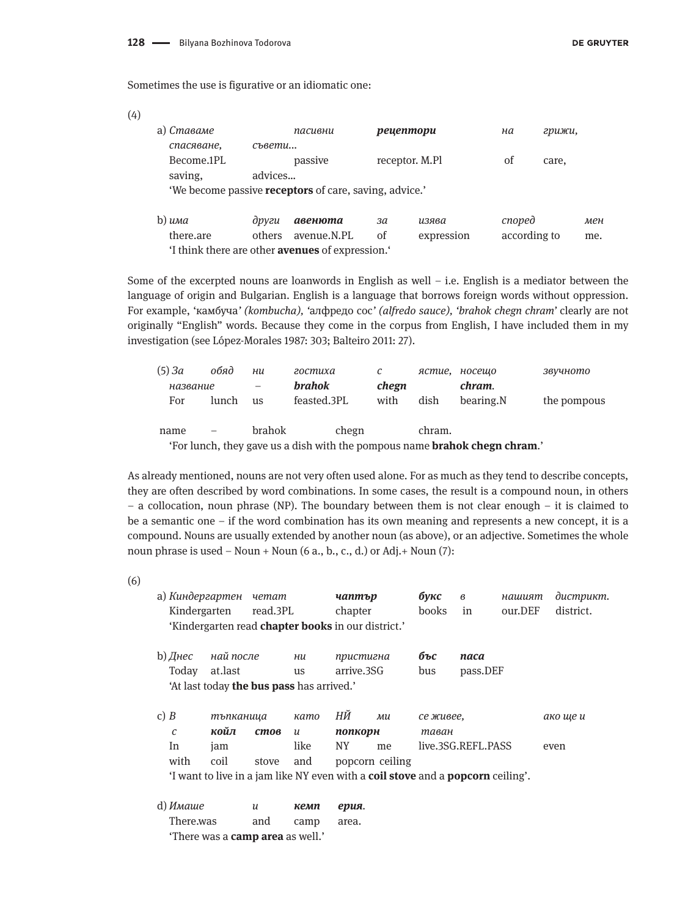Sometimes the use is figurative or an idiomatic one:

|   | ٠  |  |
|---|----|--|
|   |    |  |
|   | ٠  |  |
| × | ۰. |  |

| а) Ставаме                                              |                                                               | пасивни     |    | peyenmopu      | на           | грижи, |     |  |  |  |  |
|---------------------------------------------------------|---------------------------------------------------------------|-------------|----|----------------|--------------|--------|-----|--|--|--|--|
| спасяване,                                              | съвети                                                        |             |    |                |              |        |     |  |  |  |  |
| Become.1PL                                              |                                                               | passive     |    | receptor. M.Pl | οf           | care,  |     |  |  |  |  |
| saving.                                                 | advices                                                       |             |    |                |              |        |     |  |  |  |  |
|                                                         | 'We become passive <b>receptors</b> of care, saving, advice.' |             |    |                |              |        |     |  |  |  |  |
| b) $u$ ма                                               | други                                                         | авенюта     | за | изява          | cnoped       |        | мен |  |  |  |  |
| there.are                                               | others                                                        | avenue.N.PL | of | expression     | according to |        | me. |  |  |  |  |
| 'I think there are other <b>avenues</b> of expression." |                                                               |             |    |                |              |        |     |  |  |  |  |

Some of the excerpted nouns are loanwords in English as well  $-$  i.e. English is a mediator between the language of origin and Bulgarian. English is a language that borrows foreign words without oppression. For example, 'камбуча*' (kombucha), '*алфредо сос*' (alfredo sauce), 'brahok chegn chram'* clearly are not originally "English" words. Because they come in the corpus from English, I have included them in my investigation (see López-Morales 1987: 303; Balteiro 2011: 27).

| $(5)$ 3a                                                                          | обяд  | нu             | гостиха       |       | ястие, | носешо    | звучното    |  |  |  |
|-----------------------------------------------------------------------------------|-------|----------------|---------------|-------|--------|-----------|-------------|--|--|--|
| название                                                                          |       |                | <b>brahok</b> | chegn |        | chram.    |             |  |  |  |
| For                                                                               | lunch | $\overline{u}$ | feasted.3PL   | with  | dish   | bearing.N | the pompous |  |  |  |
|                                                                                   |       |                |               |       |        |           |             |  |  |  |
| name                                                                              |       | <b>brahok</b>  | chegn         |       | chram. |           |             |  |  |  |
| 'For lunch, they gave us a dish with the pompous name <b>brahok chegn chram.'</b> |       |                |               |       |        |           |             |  |  |  |

As already mentioned, nouns are not very often used alone. For as much as they tend to describe concepts, they are often described by word combinations. In some cases, the result is a compound noun, in others – a collocation, noun phrase (NP). The boundary between them is not clear enough – it is claimed to be a semantic one – if the word combination has its own meaning and represents a new concept, it is a compound. Nouns are usually extended by another noun (as above), or an adjective. Sometimes the whole noun phrase is used – Noun + Noun (6 a., b., c., d.) or Adj. + Noun (7):

| а) Киндергартен четат<br>Kindergarten<br>'Kindergarten read <b>chapter books</b> in our district.'                                                            | read.3PL                                               |                          | чаптър<br>chapter       |                             | букс<br><b>books</b> | $\epsilon$<br>in   | нашият<br>our.DEF | дистрикт.<br>district. |
|---------------------------------------------------------------------------------------------------------------------------------------------------------------|--------------------------------------------------------|--------------------------|-------------------------|-----------------------------|----------------------|--------------------|-------------------|------------------------|
| b) Днес<br>най после<br>at.last<br>Today<br>'At last today the bus pass has arrived.'                                                                         |                                                        | нu<br><b>us</b>          | пристигна<br>arrive.3SG |                             | бъс<br>bus           | naca<br>pass.DEF   |                   |                        |
| c) $B$<br>койл<br>$\mathcal{C}$<br>In<br>jam<br>with<br>coil<br>'I want to live in a jam like NY even with a <b>coil stove</b> and a <b>popcorn</b> ceiling'. | тъпканица<br>$\boldsymbol{cmo}\boldsymbol{6}$<br>stove | като<br>u<br>like<br>and | ΗЙ<br>попкорн<br>NY.    | ми<br>me<br>popcorn ceiling | се живее,<br>таван   | live.3SG.REFL.PASS |                   | ако ще и<br>even       |
| d) <i>Имаше</i><br>There.was                                                                                                                                  | $\mathfrak u$<br>and                                   | кемп<br>camp             | ерия.<br>area.          |                             |                      |                    |                   |                        |

'There was a **camp area** as well.'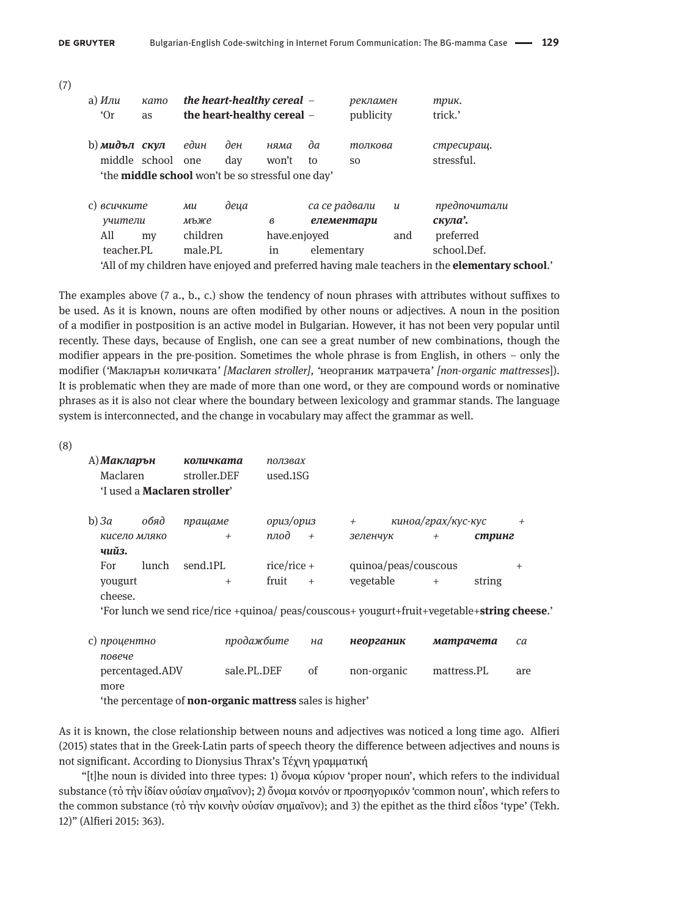| 7) |                      |               |          |      |                                                          |              |                |                  |                                                                                                    |
|----|----------------------|---------------|----------|------|----------------------------------------------------------|--------------|----------------|------------------|----------------------------------------------------------------------------------------------------|
|    | а) $M\pi u$          | като          |          |      | the heart-healthy cereal $-$                             |              | рекламен       |                  | трик.                                                                                              |
|    | $^{\circ}$ Or        | as            |          |      | the heart-healthy cereal -                               |              | publicity      |                  | trick.'                                                                                            |
|    | b) <b>мидъл скул</b> |               | един     | ден  | няма                                                     | $\partial a$ | толкова        |                  | стресиращ.                                                                                         |
|    |                      | middle school | one      | dav  | won't                                                    | to           | S <sub>O</sub> |                  | stressful.                                                                                         |
|    |                      |               |          |      | 'the <b>middle school</b> won't be so stressful one day' |              |                |                  |                                                                                                    |
|    | с) всичките          |               | ми       | деца |                                                          |              | са се радвали  | $\boldsymbol{u}$ | предпочитали                                                                                       |
|    | учители              |               | мъже     |      | $\epsilon$                                               |              | елементари     |                  | скула'.                                                                                            |
|    | All                  | my            | children |      | have.enjoved                                             |              |                | and              | preferred                                                                                          |
|    | teacher.PL           |               | male.PL  |      | in                                                       | elementary   |                |                  | school.Def.                                                                                        |
|    |                      |               |          |      |                                                          |              |                |                  | (All of my children have oniqued and preferred having male teachers in the <b>elementary schoo</b> |

'All of my children have enjoyed and preferred having male teachers in the **elementary school**.'

The examples above (7 a., b., c.) show the tendency of noun phrases with attributes without suffixes to be used. As it is known, nouns are often modified by other nouns or adjectives. A noun in the position of a modifier in postposition is an active model in Bulgarian. However, it has not been very popular until recently. These days, because of English, one can see a great number of new combinations, though the modifier appears in the pre-position. Sometimes the whole phrase is from English, in others – only the modifier (*'*Макларън количката*' [Maclaren stroller], '*неорганик матрачета*' [non-organic mattresses*]). It is problematic when they are made of more than one word, or they are compound words or nominative phrases as it is also not clear where the boundary between lexicology and grammar stands. The language system is interconnected, and the change in vocabulary may affect the grammar as well.

(8)

| А) <b>Макларън</b><br>количката |                                                                                              | ползвах          |                      |                    |        |  |
|---------------------------------|----------------------------------------------------------------------------------------------|------------------|----------------------|--------------------|--------|--|
| Maclaren                        | stroller.DEF                                                                                 | $11$ sed. $1$ SG |                      |                    |        |  |
|                                 | 'I used a <b>Maclaren stroller'</b>                                                          |                  |                      |                    |        |  |
| b) $3a$<br>обяд                 | пращаме                                                                                      | opus/opus        | $^{+}$               | киноа/грах/кус-кус | $^{+}$ |  |
| кисело мляко                    | $^{+}$                                                                                       | плод<br>$^{+}$   | зеленчук             | $^{+}$             | стринг |  |
| чийз.                           |                                                                                              |                  |                      |                    |        |  |
| For<br>lunch                    | send.1PL                                                                                     | $rice/rice +$    | quinoa/peas/couscous |                    | $^{+}$ |  |
| yougurt                         | $+$                                                                                          | fruit<br>$+$     | vegetable            | $^{+}$             | string |  |
| cheese.                         |                                                                                              |                  |                      |                    |        |  |
|                                 | 'For lunch we send rice/rice +quinoa/ peas/couscous+ yougurt+fruit+vegetable+string cheese.' |                  |                      |                    |        |  |

| с) процентно    | продажбите  | на | неорганик   | матрачета   | ca  |
|-----------------|-------------|----|-------------|-------------|-----|
| повече          |             |    |             |             |     |
| percentaged.ADV | sale.PL.DEF | οf | non-organic | mattress.PL | are |
| more            |             |    |             |             |     |
|                 |             |    |             |             |     |

'the percentage of **non-organic mattress** sales is higher'

As it is known, the close relationship between nouns and adjectives was noticed a long time ago. Alfieri (2015) states that in the Greek-Latin parts of speech theory the difference between adjectives and nouns is not significant. According to Dionysius Thrax's Τέχνη γραμματική

 "[t]he noun is divided into three types: 1) ὄνομα κύριον 'proper noun', which refers to the individual substance (τὸ τὴν ἰδίαν οὐσίαν σημαῖνον); 2) ὄνομα κοινόν or προσηγορικόν 'common noun', which refers to the common substance (τὸ τὴν κοινὴν οὐσίαν σημαῖνον); and 3) the epithet as the third εἶδοs 'type' (Tekh. 12)" (Alfieri 2015: 363).

 $\overline{C}$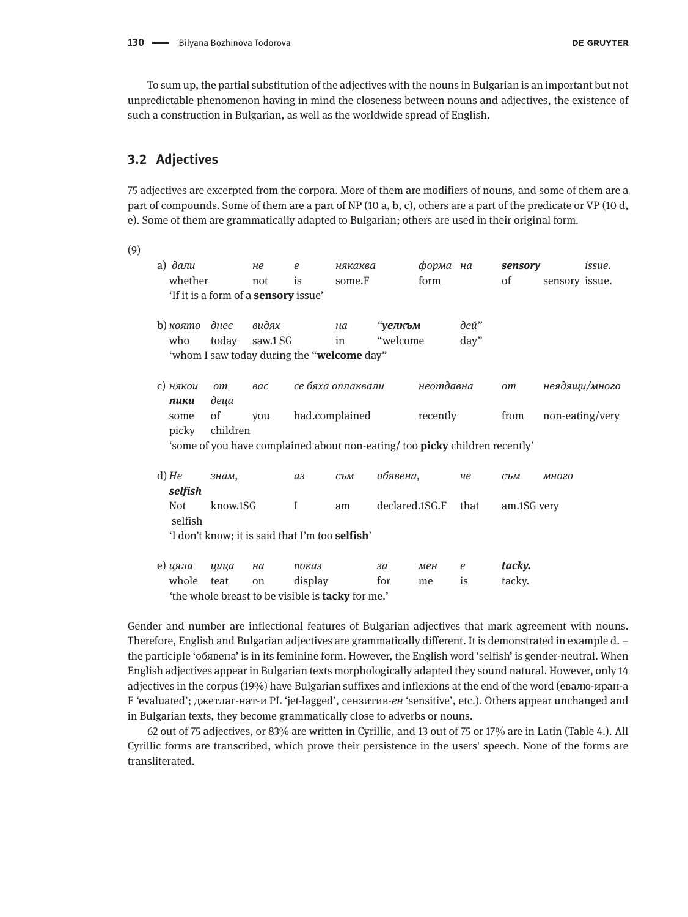To sum up, the partial substitution of the adjectives with the nouns in Bulgarian is an important but not unpredictable phenomenon having in mind the closeness between nouns and adjectives, the existence of such a construction in Bulgarian, as well as the worldwide spread of English.

## **3.2 Adjectives**

75 adjectives are excerpted from the corpora. More of them are modifiers of nouns, and some of them are a part of compounds. Some of them are a part of NP (10 a, b, c), others are a part of the predicate or VP (10 d, e). Some of them are grammatically adapted to Bulgarian; others are used in their original form.

| (9) |                                                                                    |                |                                                          |                  |                   |                |           |                  |             |                 |               |
|-----|------------------------------------------------------------------------------------|----------------|----------------------------------------------------------|------------------|-------------------|----------------|-----------|------------------|-------------|-----------------|---------------|
|     | a) $\partial a$ <i>nu</i>                                                          |                | He                                                       | $\boldsymbol{e}$ | някаква           |                | форма на  |                  | sensory     |                 | <i>issue.</i> |
|     | whether                                                                            |                | not                                                      | is               | some.F            |                | form      |                  | of          | sensory issue.  |               |
|     |                                                                                    |                | 'If it is a form of a <b>sensory</b> issue'              |                  |                   |                |           |                  |             |                 |               |
|     | b) която днес                                                                      |                | видях                                                    |                  | Ha                | "уелкъм        |           | дей"             |             |                 |               |
|     | who                                                                                | today          | saw.1 SG                                                 |                  | in                | "welcome       |           | day"             |             |                 |               |
|     |                                                                                    |                | 'whom I saw today during the "welcome day"               |                  |                   |                |           |                  |             |                 |               |
|     | с) някои<br>пики                                                                   | om<br>деца     | <i>eac</i>                                               |                  | се бяха оплаквали |                | неотдавна |                  | om          | неядящи/много   |               |
|     | some<br>picky                                                                      | οf<br>children | vou                                                      |                  | had.complained    |                | recently  |                  | from        | non-eating/very |               |
|     | 'some of you have complained about non-eating/ too <b>picky</b> children recently' |                |                                                          |                  |                   |                |           |                  |             |                 |               |
|     | $d)$ He<br>selfish                                                                 | знам,          |                                                          | a <sub>3</sub>   | СЪМ               | обявена,       |           | чe               | СЪМ         | много           |               |
|     | <b>Not</b><br>selfish                                                              | know.1SG       |                                                          | I                | am                | declared.1SG.F |           | that             | am.1SG very |                 |               |
|     |                                                                                    |                | 'I don't know; it is said that I'm too <b>selfish</b> '  |                  |                   |                |           |                  |             |                 |               |
|     | е) цяла                                                                            | ишиа           | на                                                       | показ            |                   | 3a             | мен       | $\boldsymbol{e}$ | tacky.      |                 |               |
|     | whole                                                                              | teat           | on                                                       | display          |                   | for            | me        | is               | tacky.      |                 |               |
|     |                                                                                    |                | 'the whole breast to be visible is <b>tacky</b> for me.' |                  |                   |                |           |                  |             |                 |               |
|     |                                                                                    |                |                                                          |                  |                   |                |           |                  |             |                 |               |

Gender and number are inflectional features of Bulgarian adjectives that mark agreement with nouns. Therefore, English and Bulgarian adjectives are grammatically different. It is demonstrated in example d. – the participle 'обявена' is in its feminine form. However, the English word 'selfish' is gender-neutral. When English adjectives appear in Bulgarian texts morphologically adapted they sound natural. However, only 14 adjectives in the corpus (19%) have Bulgarian suffixes and inflexions at the end of the word (евалю-иран-а F 'evaluated'; джетлаг*-*нат-и PL 'jet-lagged', сензитив*-ен* 'sensitive', etc.). Others appear unchanged and in Bulgarian texts, they become grammatically close to adverbs or nouns.

62 out of 75 adjectives, or 83% are written in Cyrillic, and 13 out of 75 or 17% are in Latin (Table 4.). All Cyrillic forms are transcribed, which prove their persistence in the users' speech. None of the forms are transliterated.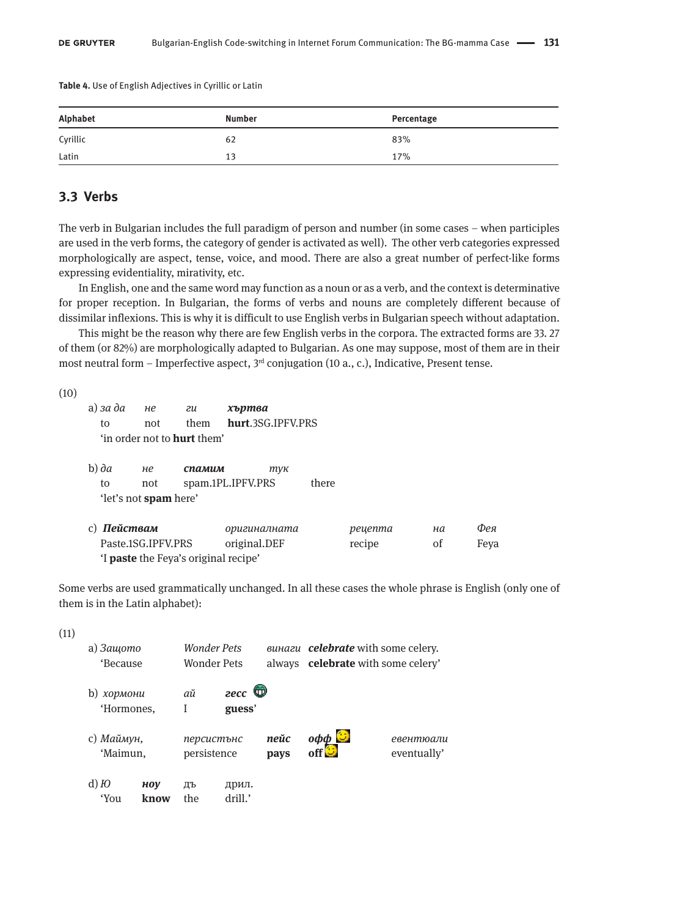**Table 4.** Use of English Adjectives in Cyrillic or Latin

| Alphabet<br>$\overline{\phantom{a}}$ | <b>Number</b> | Percentage |
|--------------------------------------|---------------|------------|
| Cyrillic                             | 62            | 83%        |
| Latin                                | 13            | 17%        |

## **3.3 Verbs**

The verb in Bulgarian includes the full paradigm of person and number (in some cases – when participles are used in the verb forms, the category of gender is activated as well). The other verb categories expressed morphologically are aspect, tense, voice, and mood. There are also a great number of perfect-like forms expressing evidentiality, mirativity, etc.

In English, one and the same word may function as a noun or as a verb, and the context is determinative for proper reception. In Bulgarian, the forms of verbs and nouns are completely different because of dissimilar inflexions. This is why it is difficult to use English verbs in Bulgarian speech without adaptation.

This might be the reason why there are few English verbs in the corpora. The extracted forms are 33. 27 of them (or 82%) are morphologically adapted to Bulgarian. As one may suppose, most of them are in their most neutral form – Imperfective aspect, 3rd conjugation (10 a., c.), Indicative, Present tense.

(10)

| a) $3a$ $\partial a$<br>to | нe<br>not<br>'in order not to <b>hurt</b> them'            | ги<br>them | хъртва<br>hurt.3SG.JPFV.PRS  |       |                   |          |             |
|----------------------------|------------------------------------------------------------|------------|------------------------------|-------|-------------------|----------|-------------|
| b) $\partial a$<br>to      | нe<br>not<br>'let's not spam here'                         | спамим     | тук<br>spam.1PL.IPFV.PRS     | there |                   |          |             |
| с) Пействам                | Paste.1SG.IPFV.PRS<br>'I paste the Feya's original recipe' |            | оригиналната<br>original.DEF |       | рецепта<br>recipe | HA<br>of | Фея<br>Feva |

Some verbs are used grammatically unchanged. In all these cases the whole phrase is English (only one of them is in the Latin alphabet):

(11)

| а) Зашото<br>'Because       |             | <b>Wonder Pets</b><br>Wonder Pets |                     | always       | винаги celebrate with some celery.<br><b>celebrate</b> with some celery' |                          |
|-----------------------------|-------------|-----------------------------------|---------------------|--------------|--------------------------------------------------------------------------|--------------------------|
| хормони<br>b)<br>'Hormones, |             | ай                                | œ<br>2ecc<br>guess' |              |                                                                          |                          |
| с) Маймун,<br>'Maimun,      |             | персистънс<br>persistence         |                     | пейс<br>pays | $\bullet$<br>офф                                                         | евентюали<br>eventually' |
| $d)$ <i>IO</i><br>'You      | HOV<br>know | ДЪ<br>the                         | дрил.<br>drill.'    |              |                                                                          |                          |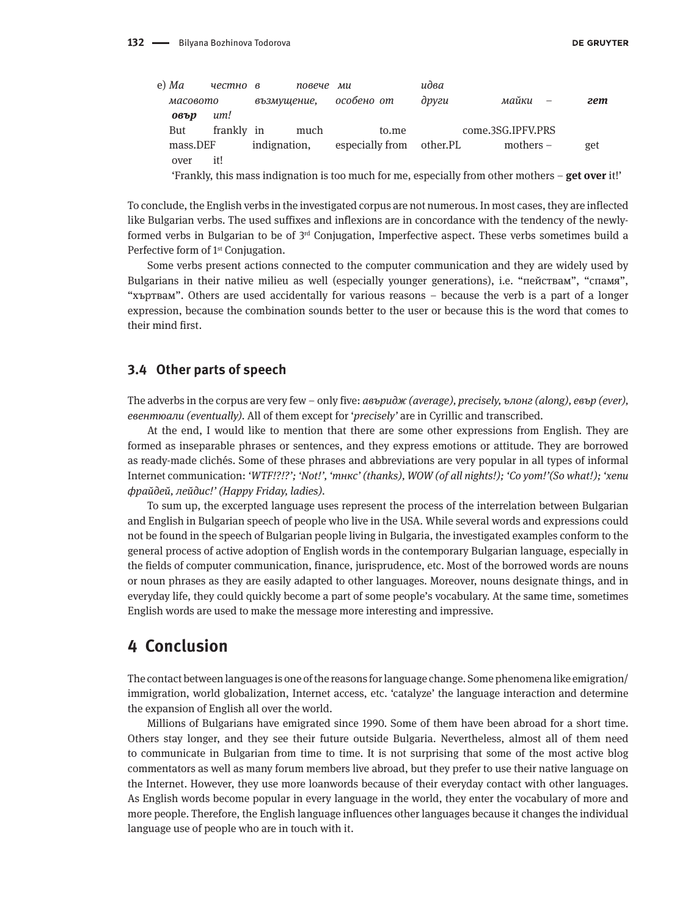|          | e) $Ma$     | честно в     |                        | повече ми                |  |       | идва  |                                                                                                              |                          |  |
|----------|-------------|--------------|------------------------|--------------------------|--|-------|-------|--------------------------------------------------------------------------------------------------------------|--------------------------|--|
|          | масовото    |              | възмущение, особено от |                          |  |       | други | майки                                                                                                        | $\overline{\phantom{0}}$ |  |
|          | <b>06ЪD</b> | um!          |                        |                          |  |       |       |                                                                                                              |                          |  |
|          | But         | frankly in   |                        | much                     |  | to.me |       | come.3SG.IPFV.PRS                                                                                            |                          |  |
| mass.DEF |             | indignation, |                        | especially from other.PL |  |       |       | mothers –                                                                                                    |                          |  |
|          | over        | it!          |                        |                          |  |       |       |                                                                                                              |                          |  |
|          |             |              |                        |                          |  |       |       | (Face 1.1., Although to 11 . Here there are the Council of the Council of Lines of Lines and Lines and Lines |                          |  |

'Frankly, this mass indignation is too much for me, especially from other mothers – **get over** it!'

To conclude, the English verbs in the investigated corpus are not numerous. In most cases, they are inflected like Bulgarian verbs. The used suffixes and inflexions are in concordance with the tendency of the newlyformed verbs in Bulgarian to be of 3rd Conjugation, Imperfective aspect. These verbs sometimes build a Perfective form of 1<sup>st</sup> Conjugation.

Some verbs present actions connected to the computer communication and they are widely used by Bulgarians in their native milieu as well (especially younger generations), i.e. "пействам", "спамя", "хъртвам". Others are used accidentally for various reasons – because the verb is a part of a longer expression, because the combination sounds better to the user or because this is the word that comes to their mind first.

## **3.4 Other parts of speech**

The adverbs in the corpus are very few – only five: *авъридж (average), precisely, ълонг (along), eвър (ever), евентюали (eventually).* All of them except for '*precisely'* are in Cyrillic and transcribed.

At the end, I would like to mention that there are some other expressions from English. They are formed as inseparable phrases or sentences, and they express emotions or attitude. They are borrowed as ready-made clichés. Some of these phrases and abbreviations are very popular in all types of informal Internet communication: *'WTF!?!?'; 'Not!', 'тнкс' (thanks), WOW (of all nights!); 'Со уот!'(So what!); 'хепи фрайдей, лейдис!' (Happy Friday, ladies).*

To sum up, the excerpted language uses represent the process of the interrelation between Bulgarian and English in Bulgarian speech of people who live in the USA. While several words and expressions could not be found in the speech of Bulgarian people living in Bulgaria, the investigated examples conform to the general process of active adoption of English words in the contemporary Bulgarian language, especially in the fields of computer communication, finance, jurisprudence, etc. Most of the borrowed words are nouns or noun phrases as they are easily adapted to other languages. Moreover, nouns designate things, and in everyday life, they could quickly become a part of some people's vocabulary. At the same time, sometimes English words are used to make the message more interesting and impressive.

## **4 Conclusion**

The contact between languages is one of the reasons for language change. Some phenomena like emigration/ immigration, world globalization, Internet access, etc. 'catalyze' the language interaction and determine the expansion of English all over the world.

Millions of Bulgarians have emigrated since 1990. Some of them have been abroad for a short time. Others stay longer, and they see their future outside Bulgaria. Nevertheless, almost all of them need to communicate in Bulgarian from time to time. It is not surprising that some of the most active blog commentators as well as many forum members live abroad, but they prefer to use their native language on the Internet. However, they use more loanwords because of their everyday contact with other languages. As English words become popular in every language in the world, they enter the vocabulary of more and more people. Therefore, the English language influences other languages because it changes the individual language use of people who are in touch with it.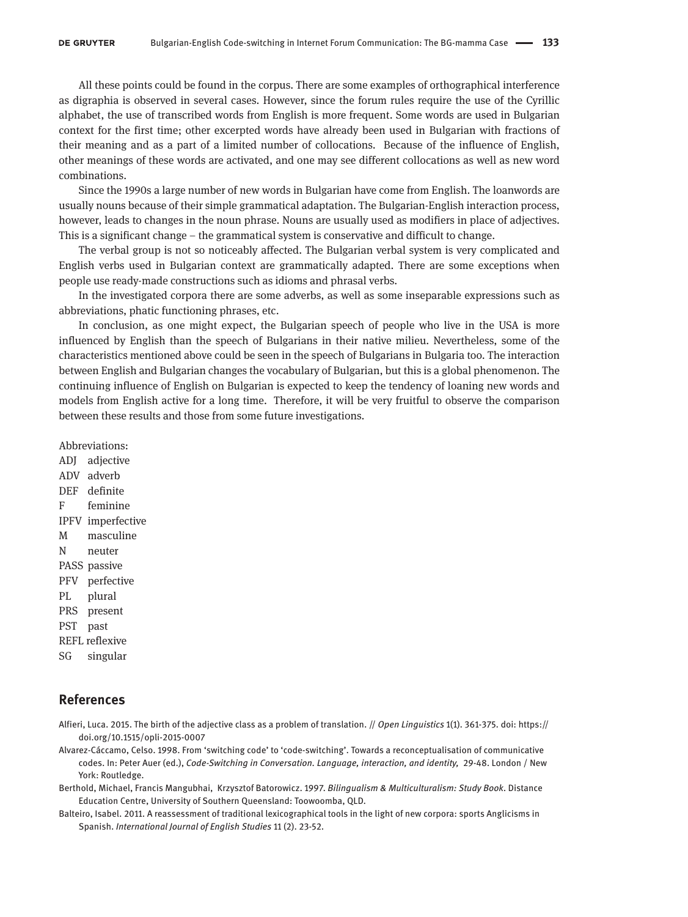All these points could be found in the corpus. There are some examples of orthographical interference as digraphia is observed in several cases. However, since the forum rules require the use of the Cyrillic alphabet, the use of transcribed words from English is more frequent. Some words are used in Bulgarian context for the first time; other excerpted words have already been used in Bulgarian with fractions of their meaning and as a part of a limited number of collocations. Because of the influence of English, other meanings of these words are activated, and one may see different collocations as well as new word combinations.

Since the 1990s a large number of new words in Bulgarian have come from English. The loanwords are usually nouns because of their simple grammatical adaptation. The Bulgarian-English interaction process, however, leads to changes in the noun phrase. Nouns are usually used as modifiers in place of adjectives. This is a significant change – the grammatical system is conservative and difficult to change.

The verbal group is not so noticeably affected. The Bulgarian verbal system is very complicated and English verbs used in Bulgarian context are grammatically adapted. There are some exceptions when people use ready-made constructions such as idioms and phrasal verbs.

In the investigated corpora there are some adverbs, as well as some inseparable expressions such as abbreviations, phatic functioning phrases, etc.

In conclusion, as one might expect, the Bulgarian speech of people who live in the USA is more influenced by English than the speech of Bulgarians in their native milieu. Nevertheless, some of the characteristics mentioned above could be seen in the speech of Bulgarians in Bulgaria too. The interaction between English and Bulgarian changes the vocabulary of Bulgarian, but this is a global phenomenon. The continuing influence of English on Bulgarian is expected to keep the tendency of loaning new words and models from English active for a long time. Therefore, it will be very fruitful to observe the comparison between these results and those from some future investigations.

Abbreviations:

ADJ adjective

ADV adverb

DEF definite

F feminine

IPFV imperfective

- M masculine
- N neuter
- PASS passive
- PFV perfective
- PL plural
- PRS present
- PST past
- REFL reflexive
- SG singular

### **References**

Alfieri, Luca. 2015. The birth of the adjective class as a problem of translation. // *Open Linguistics* 1(1). 361-375. doi: https:// doi.org/10.1515/opli-2015-0007

- Alvarez-Cáccamo, Celso. 1998. From 'switching code' to 'code-switching'. Towards a reconceptualisation of communicative codes. In: Peter Auer (ed.), *Code-Switching in Conversation. Language, interaction, and identity, 29-48. London* / New York: Routledge.
- Berthold, Michael, Francis Mangubhai, Krzysztof Batorowicz. 1997. *Bilingualism & Multiculturalism: Study Book*. Distance Education Centre, University of Southern Queensland: Toowoomba, QLD.
- Balteiro, Isabel. 2011. A reassessment of traditional lexicographical tools in the light of new corpora: sports Anglicisms in Spanish. *International Journal of English Studies* 11 (2). 23-52.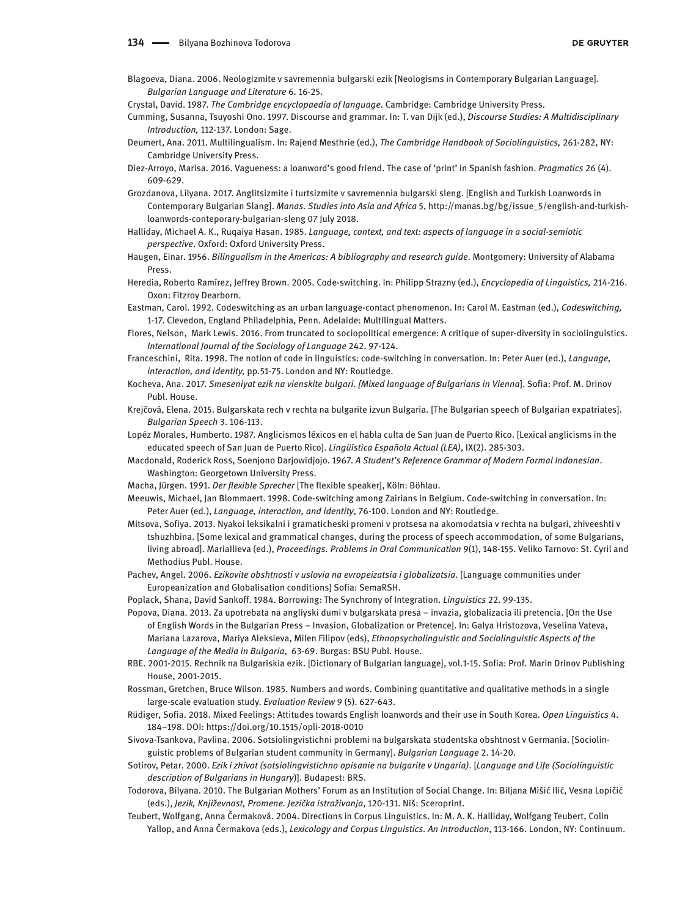- Blagoeva, Diana. 2006. Neologizmite v savremennia bulgarski ezik [Neologisms in Contemporary Bulgarian Language]. *Bulgarian Language and Literature* 6. 16-25.
- Crystal, David. 1987. *The Cambridge encyclopaedia of language*. Cambridge: Cambridge University Press.
- Cumming, Susanna, Tsuyoshi Ono. 1997. Discourse and grammar. In: T. van Dijk (ed.), *Discourse Studies: A Multidisciplinary Introduction,* 112-137. London: Sage.
- Deumert, Ana. 2011. Multilingualism. In: Rajend Mesthrie (ed.), *The Cambridge Handbook of Sociolinguistics,* 261-282, NY: Cambridge University Press.
- Diez-Arroyo, Marisa. 2016. Vagueness: a loanword's good friend. The case of 'print' in Spanish fashion. *Pragmatics* 26 (4). 609-629.
- Grozdanova, Lilyana. 2017. Anglitsizmite i turtsizmite v savremennia bulgarski sleng. [English and Turkish Loanwords in Contemporary Bulgarian Slang]. *Manas. Studies into Asia and Africa* 5, http://manas.bg/bg/issue\_5/english-and-turkishloanwords-conteporary-bulgarian-sleng 07 July 2018.
- Halliday, Michael A. K., Ruqaiya Hasan. 1985. *Language, context, and text: aspects of language in a social-semiotic perspective*. Oxford: Oxford University Press.
- Haugen, Einar. 1956. *Bilingualism in the Americas: A bibliography and research guide*. Montgomery: University of Alabama Press.
- Heredia, Roberto Ramírez, Jeffrey Brown. 2005. Code-switching. In: Philipp Strazny (ed.), *Encyclopedia of Linguistics,* 214-216. Oxon: Fitzroy Dearborn.
- Eastman, Carol. 1992. Codeswitching as an urban language-contact phenomenon. In: Carol M. Eastman (ed.), *Codeswitching,*  1-17. Clevedon, England Philadelphia, Penn. Adelaide: Multilingual Matters.
- Flores, Nelson, Mark Lewis. 2016. From truncated to sociopolitical emergence: A critique of super-diversity in sociolinguistics. *International Journal of the Sociology of Language* 242. 97-124.
- Franceschini, Rita. 1998. The notion of code in linguistics: code-switching in conversation. In: Peter Auer (ed.), *Language, interaction, and identity,* pp*.*51-75. London and NY: Routledge.
- Kocheva, Ana. 2017. *Smeseniyat ezik na vienskite bulgari. [Mixed language of Bulgarians in Vienna*]. Sofia: Prof. M. Drinov Publ. House.
- Krejčová, Elena. 2015. Bulgarskata rech v rechta na bulgarite izvun Bulgaria. [The Bulgarian speech of Bulgarian expatriates]. *Bulgarian Speech* 3. 106-113.
- Lopéz Morales, Humberto. 1987. Anglicismos léxicos en el habla culta de San Juan de Puerto Rico. [Lexical anglicisms in the educated speech of San Juan de Puerto Rico]. *Lingüística Española Actual (LEA)*, IX(2). 285-303.
- Macdonald, Roderick Ross, Soenjono Darjowidjojo. 1967. *A Student's Reference Grammar of Modern Formal Indonesian*. Washington: Georgetown University Press.
- Macha, Jürgen. 1991. *Der flexible Sprecher* [The flexible speaker], Köln: Böhlau.
- Meeuwis, Michael, Jan Blommaert. 1998. Code-switching among Zairians in Belgium. Code-switching in conversation. In: Peter Auer (ed.), *Language, interaction, and identity*, 76-100. London and NY: Routledge.
- Mitsova, Sofiya. 2013. Nyakoi leksikalni i gramaticheski promeni v protsesa na akomodatsia v rechta na bulgari, zhiveeshti v tshuzhbina. [Some lexical and grammatical changes, during the process of speech accommodation, of some Bulgarians, living abroad]. MariaIlieva (ed.), *Proceedings. Problems in Oral Communication* 9(1), 148-155. Veliko Tarnovo: St. Cyril and Methodius Publ. House.
- Pachev, Angel. 2006. *Ezikovite obshtnosti v uslovia na evropeizatsia i globalizatsia*. [Language communities under Europeanization and Globalisation conditions] Sofia: SemaRSH.
- Poplack, Shana, David Sankoff. 1984. Borrowing: The Synchrony of Integration. *Linguistics* 22. 99-135.
- Popova, Diana. 2013. Za upotrebata na angliyski dumi v bulgarskata presa invazia, globalizacia ili pretencia. [On the Use of English Words in the Bulgarian Press – Invasion, Globalization or Pretence]. In: Galya Hristozova, Veselina Vateva, Mariana Lazarova, Mariya Aleksieva, Milen Filipov (eds), *Ethnopsycholinguistic and Sociolinguistic Aspects of the Language of the Media in Bulgaria*, 63-69. Burgas: BSU Publ. House.
- RBE. 2001-2015. Rechnik na Bulgariskia ezik. [Dictionary of Bulgarian language], vol.1-15. Sofia: Prof. Marin Drinov Publishing House, 2001-2015.
- Rossman, Gretchen, Bruce Wilson. 1985. Numbers and words. Combining quantitative and qualitative methods in a single large-scale evaluation study. *Evaluation Review* 9 (5). 627-643.
- Rüdiger, Sofia. 2018. Mixed Feelings: Attitudes towards English loanwords and their use in South Korea. *Open Linguistics* 4. 184–198. DOI: https://doi.org/10.1515/opli-2018-0010
- Sivova-Tsankova, Pavlina. 2006. Sotsiolingvistichni problemi na bulgarskata studentska obshtnost v Germania. [Sociolinguistic problems of Bulgarian student community in Germany]. *Bulgarian Language* 2. 14-20.
- Sotirov, Petar. 2000. *Ezik i zhivot (sotsiolingvistichno opisanie na bulgarite v Ungaria)*. [*Language and Life (Sociolinguistic description of Bulgarians in Hungary*)]. Budapest: BRS.
- Todorova, Bilyana. 2010. The Bulgarian Mothers' Forum as an Institution of Social Change. In: Biljana Mišić Ilić, Vesna Lopičić (eds.), *Jezik, Književnost, Promene. Jezička istraživanja*, 120-131. Niš: Sceroprint.
- Teubert, Wolfgang, Anna Čermaková. 2004. Directions in Corpus Linguistics. In: M. A. K. Halliday, Wolfgang Teubert, Colin Yallop, and Anna Čermakova (eds.), *Lexicology and Corpus Linguistics. An Introduction*, 113-166. London, NY: Continuum.